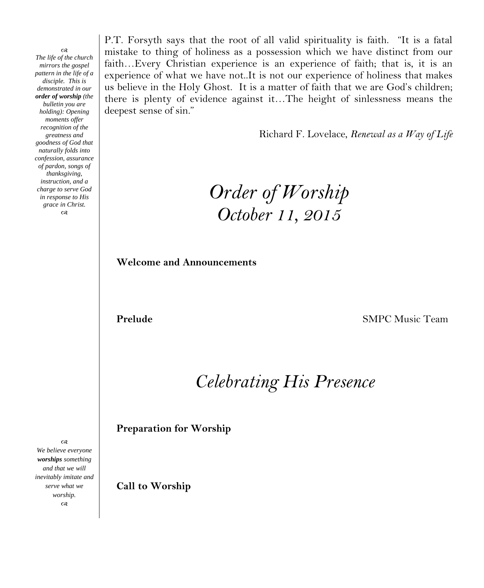CB. *The life of the church mirrors the gospel pattern in the life of a disciple. This is demonstrated in our order of worship (the bulletin you are holding): Opening moments offer recognition of the greatness and goodness of God that naturally folds into confession, assurance of pardon, songs of thanksgiving, instruction, and a charge to serve God in response to His grace in Christ.*  $\infty$ 

P.T. Forsyth says that the root of all valid spirituality is faith. "It is a fatal mistake to thing of holiness as a possession which we have distinct from our faith…Every Christian experience is an experience of faith; that is, it is an experience of what we have not..It is not our experience of holiness that makes us believe in the Holy Ghost. It is a matter of faith that we are God's children; there is plenty of evidence against it…The height of sinlessness means the deepest sense of sin."

Richard F. Lovelace, *Renewal as a Way of Life*

*Order of Worship October 11, 2015*

**Welcome and Announcements**

**Prelude SMPC Music Team** 

*Celebrating His Presence*

**Preparation for Worship**

*and that we will inevitably imitate and serve what we worship.* **Call to Worship**

 $\infty$ *We believe everyone worships something*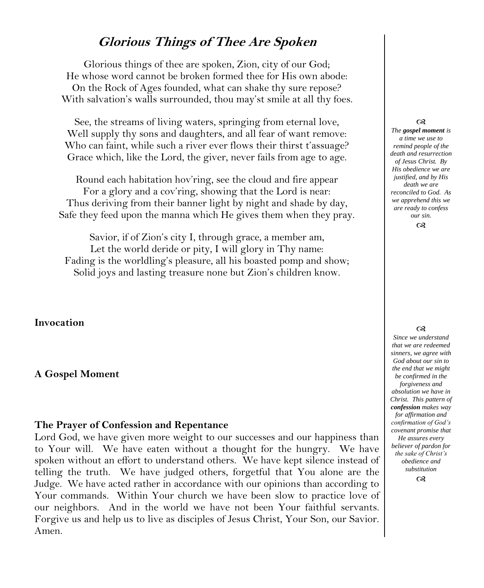# **Glorious Things of Thee Are Spoken**

Glorious things of thee are spoken, Zion, city of our God; He whose word cannot be broken formed thee for His own abode: On the Rock of Ages founded, what can shake thy sure repose? With salvation's walls surrounded, thou may'st smile at all thy foes.

See, the streams of living waters, springing from eternal love, Well supply thy sons and daughters, and all fear of want remove: Who can faint, while such a river ever flows their thirst t'assuage? Grace which, like the Lord, the giver, never fails from age to age.

Round each habitation hov'ring, see the cloud and fire appear For a glory and a cov'ring, showing that the Lord is near: Thus deriving from their banner light by night and shade by day, Safe they feed upon the manna which He gives them when they pray.

Savior, if of Zion's city I, through grace, a member am, Let the world deride or pity, I will glory in Thy name: Fading is the worldling's pleasure, all his boasted pomp and show; Solid joys and lasting treasure none but Zion's children know.

## **Invocation**

#### **A Gospel Moment**

## **The Prayer of Confession and Repentance**

Lord God, we have given more weight to our successes and our happiness than to Your will. We have eaten without a thought for the hungry. We have spoken without an effort to understand others. We have kept silence instead of telling the truth. We have judged others, forgetful that You alone are the Judge. We have acted rather in accordance with our opinions than according to Your commands. Within Your church we have been slow to practice love of our neighbors. And in the world we have not been Your faithful servants. Forgive us and help us to live as disciples of Jesus Christ, Your Son, our Savior. Amen.

#### $\infty$

*The gospel moment is a time we use to remind people of the death and resurrection of Jesus Christ. By His obedience we are justified, and by His death we are reconciled to God. As we apprehend this we are ready to confess our sin.*

 $\infty$ 

#### $\infty$

*Since we understand that we are redeemed sinners, we agree with God about our sin to the end that we might be confirmed in the forgiveness and absolution we have in Christ. This pattern of confession makes way for affirmation and confirmation of God's covenant promise that He assures every believer of pardon for the sake of Christ's obedience and substitution*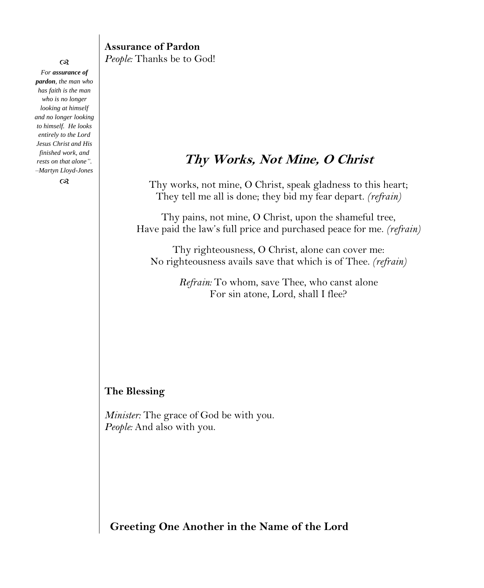## **Assurance of Pardon** *People:* Thanks be to God!

# **Thy Works, Not Mine, O Christ**

Thy works, not mine, O Christ, speak gladness to this heart; They tell me all is done; they bid my fear depart. *(refrain)*

Thy pains, not mine, O Christ, upon the shameful tree, Have paid the law's full price and purchased peace for me. *(refrain)*

Thy righteousness, O Christ, alone can cover me: No righteousness avails save that which is of Thee. *(refrain)*

> *Refrain:* To whom, save Thee, who canst alone For sin atone, Lord, shall I flee?

## **The Blessing**

*Minister:* The grace of God be with you. *People:* And also with you.

**Greeting One Another in the Name of the Lord**

#### $\infty$

*For assurance of pardon, the man who has faith is the man who is no longer looking at himself and no longer looking to himself. He looks entirely to the Lord Jesus Christ and His finished work, and rests on that alone". –Martyn Lloyd-Jones*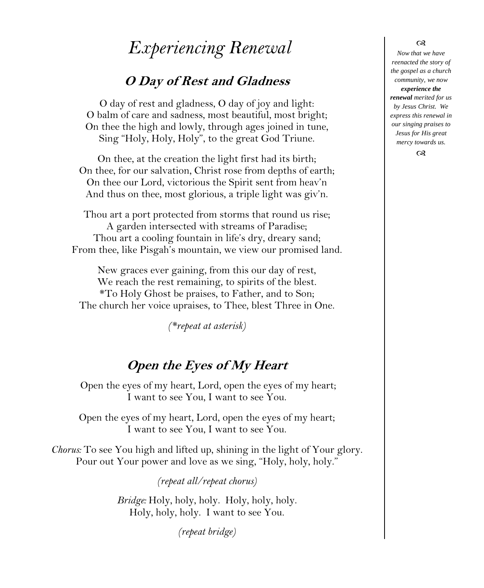# *Experiencing Renewal*

# **O Day of Rest and Gladness**

O day of rest and gladness, O day of joy and light: O balm of care and sadness, most beautiful, most bright; On thee the high and lowly, through ages joined in tune, Sing "Holy, Holy, Holy", to the great God Triune.

On thee, at the creation the light first had its birth; On thee, for our salvation, Christ rose from depths of earth; On thee our Lord, victorious the Spirit sent from heav'n And thus on thee, most glorious, a triple light was giv'n.

Thou art a port protected from storms that round us rise; A garden intersected with streams of Paradise; Thou art a cooling fountain in life's dry, dreary sand; From thee, like Pisgah's mountain, we view our promised land.

New graces ever gaining, from this our day of rest, We reach the rest remaining, to spirits of the blest. \*To Holy Ghost be praises, to Father, and to Son; The church her voice upraises, to Thee, blest Three in One.

*(\*repeat at asterisk)*

# **Open the Eyes of My Heart**

Open the eyes of my heart, Lord, open the eyes of my heart; I want to see You, I want to see You.

Open the eyes of my heart, Lord, open the eyes of my heart; I want to see You, I want to see You.

*Chorus:* To see You high and lifted up, shining in the light of Your glory. Pour out Your power and love as we sing, "Holy, holy, holy."

*(repeat all/repeat chorus)*

*Bridge:* Holy, holy, holy. Holy, holy, holy. Holy, holy, holy. I want to see You.

*(repeat bridge)*

#### $\infty$

*Now that we have reenacted the story of the gospel as a church community, we now experience the renewal merited for us by Jesus Christ. We express this renewal in our singing praises to Jesus for His great mercy towards us.*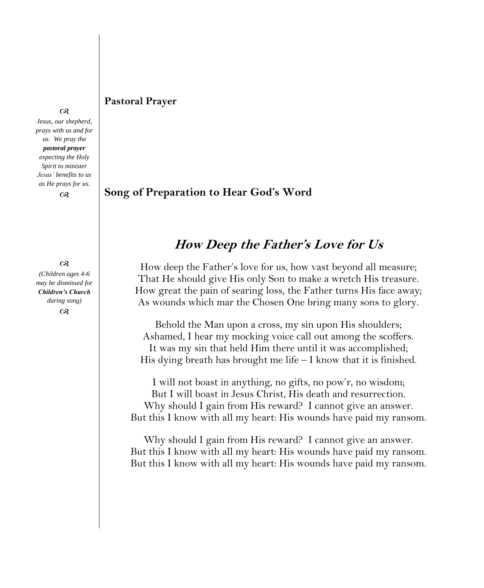## **Pastoral Prayer**

#### $\infty$

*Jesus, our shepherd, prays with us and for us. We pray the pastoral prayer expecting the Holy Spirit to minister Jesus' benefits to us as He prays for us.*

 $\infty$ 

 $^{cs}$ *(Children ages 4-6 may be dismissed for Children's Church during song)*  $\infty$ 

## **Song of Preparation to Hear God's Word**

# **How Deep the Father's Love for Us**

How deep the Father's love for us, how vast beyond all measure; That He should give His only Son to make a wretch His treasure. How great the pain of searing loss, the Father turns His face away; As wounds which mar the Chosen One bring many sons to glory.

Behold the Man upon a cross, my sin upon His shoulders; Ashamed, I hear my mocking voice call out among the scoffers. It was my sin that held Him there until it was accomplished; His dying breath has brought me life – I know that it is finished.

I will not boast in anything, no gifts, no pow'r, no wisdom; But I will boast in Jesus Christ, His death and resurrection. Why should I gain from His reward? I cannot give an answer. But this I know with all my heart: His wounds have paid my ransom.

Why should I gain from His reward? I cannot give an answer. But this I know with all my heart: His wounds have paid my ransom. But this I know with all my heart: His wounds have paid my ransom.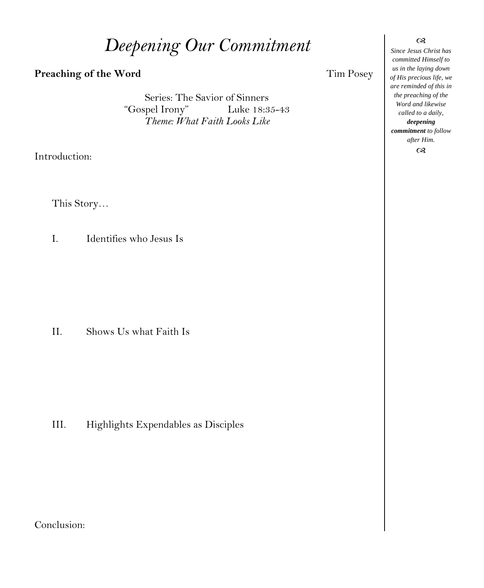# *Deepening Our Commitment*

## **Preaching of the Word Tim Posey**

Series: The Savior of Sinners<br>"Gospel Irony" Luke 18:3 Luke 18:35-43 *Theme: What Faith Looks Like*

Introduction:

This Story…

I. Identifies who Jesus Is

II. Shows Us what Faith Is

III. Highlights Expendables as Disciples

Conclusion:

*Since Jesus Christ has committed Himself to us in the laying down of His precious life, we are reminded of this in the preaching of the Word and likewise called to a daily, deepening commitment to follow after Him.*  $\alpha$